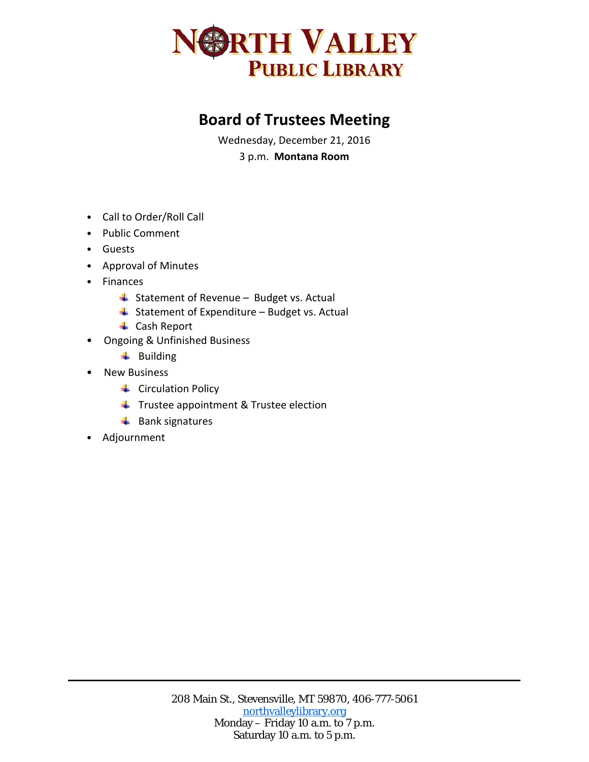

## **Board of Trustees Meeting**

Wednesday, December 21, 2016 3 p.m. **Montana Room**

- Call to Order/Roll Call
- Public Comment
- Guests
- Approval of Minutes
- Finances
	- $\overline{\phantom{a}}$  Statement of Revenue Budget vs. Actual
	- $\triangleq$  Statement of Expenditure Budget vs. Actual
	- **↓** Cash Report
- Ongoing & Unfinished Business
	- $\ddot{\bullet}$  Building
- New Business
	- **↓** Circulation Policy
	- $\ddot{\bullet}$  Trustee appointment & Trustee election
	- $\leftarrow$  Bank signatures
- Adjournment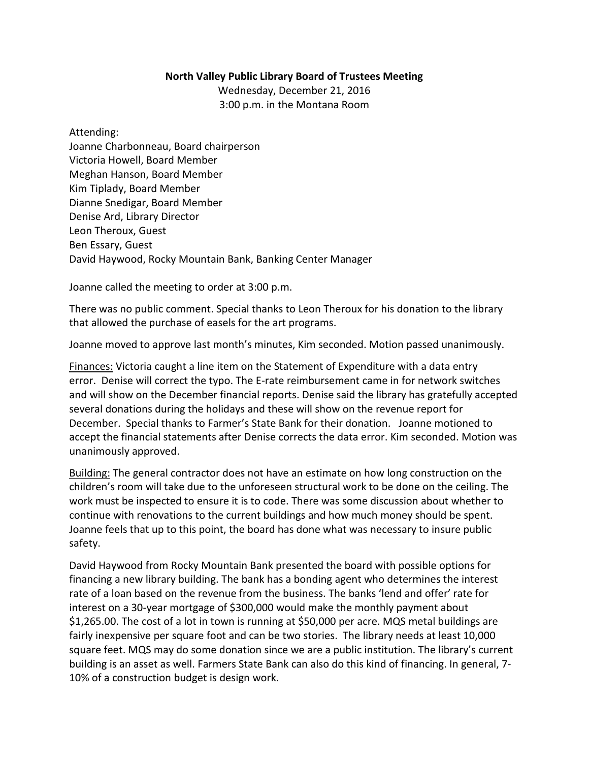## **North Valley Public Library Board of Trustees Meeting**

Wednesday, December 21, 2016 3:00 p.m. in the Montana Room

Attending: Joanne Charbonneau, Board chairperson Victoria Howell, Board Member Meghan Hanson, Board Member Kim Tiplady, Board Member Dianne Snedigar, Board Member Denise Ard, Library Director Leon Theroux, Guest Ben Essary, Guest David Haywood, Rocky Mountain Bank, Banking Center Manager

Joanne called the meeting to order at 3:00 p.m.

There was no public comment. Special thanks to Leon Theroux for his donation to the library that allowed the purchase of easels for the art programs.

Joanne moved to approve last month's minutes, Kim seconded. Motion passed unanimously.

Finances: Victoria caught a line item on the Statement of Expenditure with a data entry error. Denise will correct the typo. The E-rate reimbursement came in for network switches and will show on the December financial reports. Denise said the library has gratefully accepted several donations during the holidays and these will show on the revenue report for December. Special thanks to Farmer's State Bank for their donation. Joanne motioned to accept the financial statements after Denise corrects the data error. Kim seconded. Motion was unanimously approved.

Building: The general contractor does not have an estimate on how long construction on the children's room will take due to the unforeseen structural work to be done on the ceiling. The work must be inspected to ensure it is to code. There was some discussion about whether to continue with renovations to the current buildings and how much money should be spent. Joanne feels that up to this point, the board has done what was necessary to insure public safety.

David Haywood from Rocky Mountain Bank presented the board with possible options for financing a new library building. The bank has a bonding agent who determines the interest rate of a loan based on the revenue from the business. The banks 'lend and offer' rate for interest on a 30-year mortgage of \$300,000 would make the monthly payment about \$1,265.00. The cost of a lot in town is running at \$50,000 per acre. MQS metal buildings are fairly inexpensive per square foot and can be two stories. The library needs at least 10,000 square feet. MQS may do some donation since we are a public institution. The library's current building is an asset as well. Farmers State Bank can also do this kind of financing. In general, 7- 10% of a construction budget is design work.